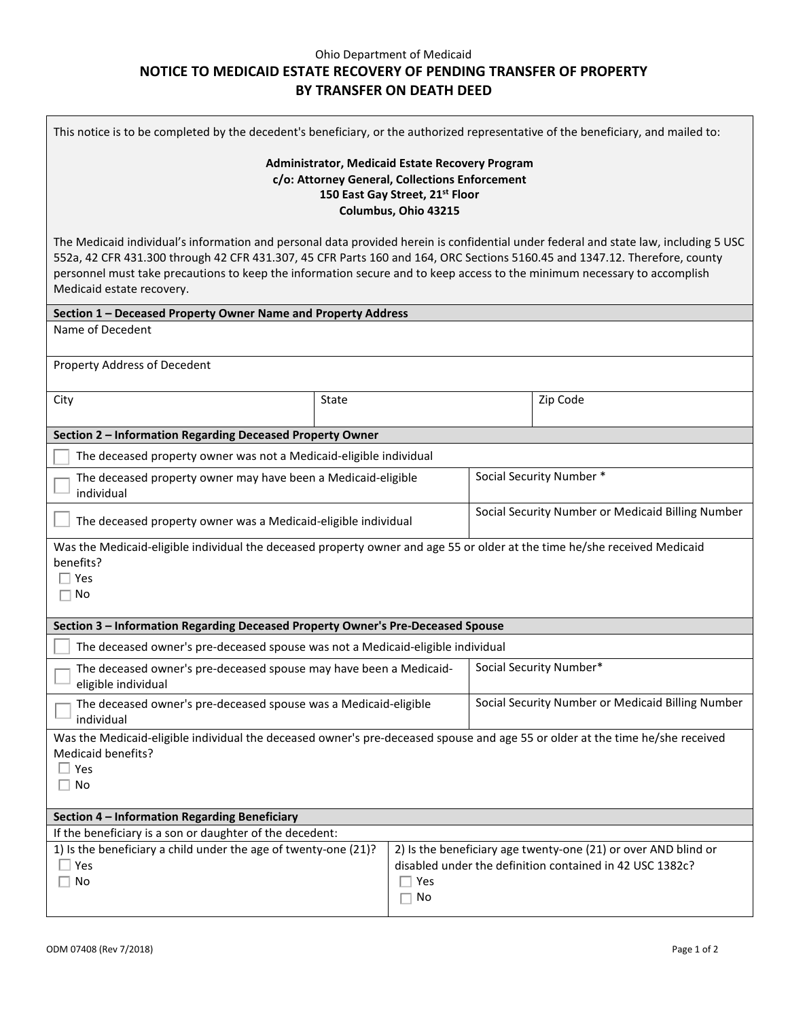## Ohio Department of Medicaid **NOTICE TO MEDICAID ESTATE RECOVERY OF PENDING TRANSFER OF PROPERTY BY TRANSFER ON DEATH DEED**

| This notice is to be completed by the decedent's beneficiary, or the authorized representative of the beneficiary, and mailed to:                                                                                                                                                                                                                                                                                           |       |                                                                                                                                           |                                                   |          |  |  |
|-----------------------------------------------------------------------------------------------------------------------------------------------------------------------------------------------------------------------------------------------------------------------------------------------------------------------------------------------------------------------------------------------------------------------------|-------|-------------------------------------------------------------------------------------------------------------------------------------------|---------------------------------------------------|----------|--|--|
| Administrator, Medicaid Estate Recovery Program<br>c/o: Attorney General, Collections Enforcement<br>150 East Gay Street, 21st Floor<br>Columbus, Ohio 43215                                                                                                                                                                                                                                                                |       |                                                                                                                                           |                                                   |          |  |  |
| The Medicaid individual's information and personal data provided herein is confidential under federal and state law, including 5 USC<br>552a, 42 CFR 431.300 through 42 CFR 431.307, 45 CFR Parts 160 and 164, ORC Sections 5160.45 and 1347.12. Therefore, county<br>personnel must take precautions to keep the information secure and to keep access to the minimum necessary to accomplish<br>Medicaid estate recovery. |       |                                                                                                                                           |                                                   |          |  |  |
| Section 1 - Deceased Property Owner Name and Property Address                                                                                                                                                                                                                                                                                                                                                               |       |                                                                                                                                           |                                                   |          |  |  |
| Name of Decedent                                                                                                                                                                                                                                                                                                                                                                                                            |       |                                                                                                                                           |                                                   |          |  |  |
| Property Address of Decedent                                                                                                                                                                                                                                                                                                                                                                                                |       |                                                                                                                                           |                                                   |          |  |  |
| City                                                                                                                                                                                                                                                                                                                                                                                                                        | State |                                                                                                                                           |                                                   | Zip Code |  |  |
| Section 2 - Information Regarding Deceased Property Owner                                                                                                                                                                                                                                                                                                                                                                   |       |                                                                                                                                           |                                                   |          |  |  |
| The deceased property owner was not a Medicaid-eligible individual                                                                                                                                                                                                                                                                                                                                                          |       |                                                                                                                                           |                                                   |          |  |  |
| The deceased property owner may have been a Medicaid-eligible<br>individual                                                                                                                                                                                                                                                                                                                                                 |       |                                                                                                                                           | Social Security Number *                          |          |  |  |
| The deceased property owner was a Medicaid-eligible individual                                                                                                                                                                                                                                                                                                                                                              |       |                                                                                                                                           | Social Security Number or Medicaid Billing Number |          |  |  |
| Was the Medicaid-eligible individual the deceased property owner and age 55 or older at the time he/she received Medicaid<br>benefits?<br>Yes<br>No                                                                                                                                                                                                                                                                         |       |                                                                                                                                           |                                                   |          |  |  |
| Section 3 - Information Regarding Deceased Property Owner's Pre-Deceased Spouse                                                                                                                                                                                                                                                                                                                                             |       |                                                                                                                                           |                                                   |          |  |  |
| The deceased owner's pre-deceased spouse was not a Medicaid-eligible individual                                                                                                                                                                                                                                                                                                                                             |       |                                                                                                                                           |                                                   |          |  |  |
| The deceased owner's pre-deceased spouse may have been a Medicaid-<br>eligible individual                                                                                                                                                                                                                                                                                                                                   |       |                                                                                                                                           | Social Security Number*                           |          |  |  |
| The deceased owner's pre-deceased spouse was a Medicaid-eligible<br>individual                                                                                                                                                                                                                                                                                                                                              |       |                                                                                                                                           | Social Security Number or Medicaid Billing Number |          |  |  |
| Was the Medicaid-eligible individual the deceased owner's pre-deceased spouse and age 55 or older at the time he/she received<br>Medicaid benefits?<br>$\Box$ Yes<br>$\Box$ No                                                                                                                                                                                                                                              |       |                                                                                                                                           |                                                   |          |  |  |
| Section 4 - Information Regarding Beneficiary                                                                                                                                                                                                                                                                                                                                                                               |       |                                                                                                                                           |                                                   |          |  |  |
| If the beneficiary is a son or daughter of the decedent:                                                                                                                                                                                                                                                                                                                                                                    |       |                                                                                                                                           |                                                   |          |  |  |
| 1) Is the beneficiary a child under the age of twenty-one (21)?<br>Yes<br>No                                                                                                                                                                                                                                                                                                                                                |       | 2) Is the beneficiary age twenty-one (21) or over AND blind or<br>disabled under the definition contained in 42 USC 1382c?<br>∏ Yes<br>No |                                                   |          |  |  |